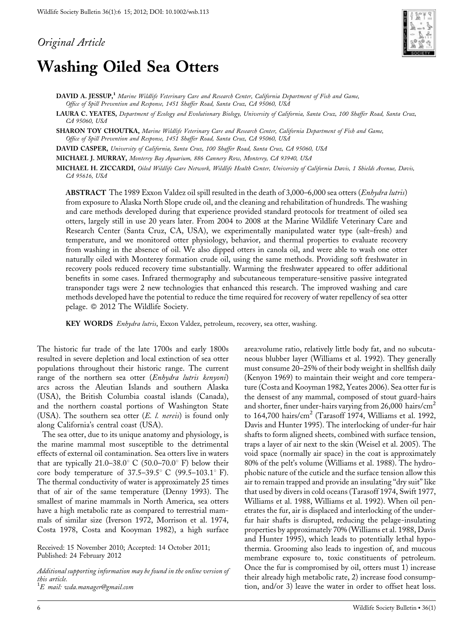Original Article

# Washing Oiled Sea Otters



DAVID A. JESSUP,<sup>1</sup> Marine Wildlife Veterinary Care and Research Center, California Department of Fish and Game, Office of Spill Prevention and Response, 1451 Shaffer Road, Santa Cruz, CA 95060, USA

LAURA C. YEATES, Department of Ecology and Evolutionary Biology, University of California, Santa Cruz, 100 Shaffer Road, Santa Cruz, CA 95060, USA

SHARON TOY CHOUTKA, Marine Wildlife Veterinary Care and Research Center, California Department of Fish and Game, Office of Spill Prevention and Response, 1451 Shaffer Road, Santa Cruz, CA 95060, USA

DAVID CASPER, University of California, Santa Cruz, 100 Shaffer Road, Santa Cruz, CA 95060, USA

MICHAEL J. MURRAY, Monterey Bay Aquarium, 886 Cannery Row, Monterey, CA 93940, USA

MICHAEL H. ZICCARDI, Oiled Wildlife Care Network, Wildlife Health Center, University of California Davis, 1 Shields Avenue, Davis, CA 95616, USA

ABSTRACT The 1989 Exxon Valdez oil spill resulted in the death of 3,000–6,000 sea otters (Enhydra lutris) from exposure to Alaska North Slope crude oil, and the cleaning and rehabilitation of hundreds. The washing and care methods developed during that experience provided standard protocols for treatment of oiled sea otters, largely still in use 20 years later. From 2004 to 2008 at the Marine Wildlife Veterinary Care and Research Center (Santa Cruz, CA, USA), we experimentally manipulated water type (salt–fresh) and temperature, and we monitored otter physiology, behavior, and thermal properties to evaluate recovery from washing in the absence of oil. We also dipped otters in canola oil, and were able to wash one otter naturally oiled with Monterey formation crude oil, using the same methods. Providing soft freshwater in recovery pools reduced recovery time substantially. Warming the freshwater appeared to offer additional benefits in some cases. Infrared thermography and subcutaneous temperature-sensitive passive integrated transponder tags were 2 new technologies that enhanced this research. The improved washing and care methods developed have the potential to reduce the time required for recovery of water repellency of sea otter pelage. © 2012 The Wildlife Society.

KEY WORDS Enhydra lutris, Exxon Valdez, petroleum, recovery, sea otter, washing.

The historic fur trade of the late 1700s and early 1800s resulted in severe depletion and local extinction of sea otter populations throughout their historic range. The current range of the northern sea otter (*Enhydra lutris kenyoni*) arcs across the Aleutian Islands and southern Alaska (USA), the British Columbia coastal islands (Canada), and the northern coastal portions of Washington State (USA). The southern sea otter  $(E. \ l. \ nereis)$  is found only along California's central coast (USA).

The sea otter, due to its unique anatomy and physiology, is the marine mammal most susceptible to the detrimental effects of external oil contamination. Sea otters live in waters that are typically 21.0–38.0° C (50.0–70.0° F) below their core body temperature of  $37.5-39.5^{\circ}$  C (99.5-103.1 $^{\circ}$  F). The thermal conductivity of water is approximately 25 times that of air of the same temperature (Denny 1993). The smallest of marine mammals in North America, sea otters have a high metabolic rate as compared to terrestrial mammals of similar size (Iverson 1972, Morrison et al. 1974, Costa 1978, Costa and Kooyman 1982), a high surface

Received: 15 November 2010; Accepted: 14 October 2011; Published: 24 February 2012

Additional supporting information may be found in the online version of this article.  $^1E$  mail: wda.manager@gmail.com

area:volume ratio, relatively little body fat, and no subcutaneous blubber layer (Williams et al. 1992). They generally must consume 20–25% of their body weight in shellfish daily (Kenyon 1969) to maintain their weight and core temperature (Costa and Kooyman 1982, Yeates 2006). Sea otter fur is the densest of any mammal, composed of stout guard-hairs and shorter, finer under-hairs varying from  $26,000$  hairs/cm<sup>2</sup> to 164,700 hairs/cm<sup>2</sup> (Tarasoff 1974, Williams et al. 1992, Davis and Hunter 1995). The interlocking of under-fur hair shafts to form aligned sheets, combined with surface tension, traps a layer of air next to the skin (Weisel et al. 2005). The void space (normally air space) in the coat is approximately 80% of the pelt's volume (Williams et al. 1988). The hydrophobic nature of the cuticle and the surface tension allow this air to remain trapped and provide an insulating ''dry suit'' like that used by divers in cold oceans (Tarasoff 1974, Swift 1977, Williams et al. 1988, Williams et al. 1992). When oil penetrates the fur, air is displaced and interlocking of the underfur hair shafts is disrupted, reducing the pelage-insulating properties by approximately 70% (Williams et al. 1988, Davis and Hunter 1995), which leads to potentially lethal hypothermia. Grooming also leads to ingestion of, and mucous membrane exposure to, toxic constituents of petroleum. Once the fur is compromised by oil, otters must 1) increase their already high metabolic rate, 2) increase food consumption, and/or 3) leave the water in order to offset heat loss.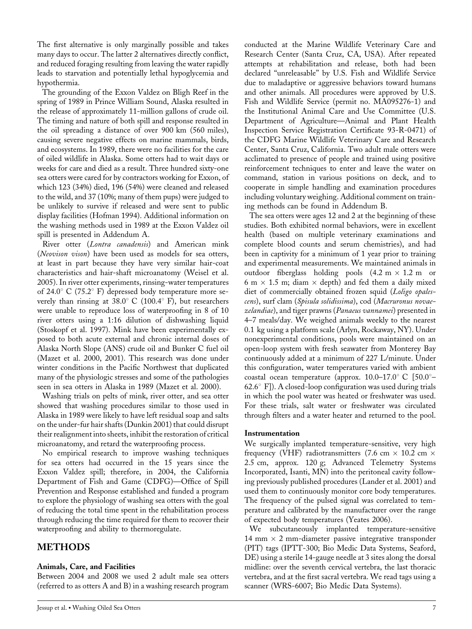The first alternative is only marginally possible and takes many days to occur. The latter 2 alternatives directly conflict, and reduced foraging resulting from leaving the water rapidly leads to starvation and potentially lethal hypoglycemia and hypothermia.

The grounding of the Exxon Valdez on Bligh Reef in the spring of 1989 in Prince William Sound, Alaska resulted in the release of approximately 11-million gallons of crude oil. The timing and nature of both spill and response resulted in the oil spreading a distance of over 900 km (560 miles), causing severe negative effects on marine mammals, birds, and ecosystems. In 1989, there were no facilities for the care of oiled wildlife in Alaska. Some otters had to wait days or weeks for care and died as a result. Three hundred sixty-one sea otters were cared for by contractors working for Exxon, of which 123 (34%) died, 196 (54%) were cleaned and released to the wild, and 37 (10%; many of them pups) were judged to be unlikely to survive if released and were sent to public display facilities (Hofman 1994). Additional information on the washing methods used in 1989 at the Exxon Valdez oil spill is presented in Addendum A.

River otter (Lontra canadensis) and American mink (Neovison vison) have been used as models for sea otters, at least in part because they have very similar hair-coat characteristics and hair-shaft microanatomy (Weisel et al. 2005). In river otter experiments, rinsing-water temperatures of 24.0 $\degree$  C (75.2 $\degree$  F) depressed body temperature more severely than rinsing at  $38.0^{\circ}$  C (100.4 $^{\circ}$  F), but researchers were unable to reproduce loss of waterproofing in 8 of 10 river otters using a 1:16 dilution of dishwashing liquid (Stoskopf et al. 1997). Mink have been experimentally exposed to both acute external and chronic internal doses of Alaska North Slope (ANS) crude oil and Bunker C fuel oil (Mazet et al. 2000, 2001). This research was done under winter conditions in the Pacific Northwest that duplicated many of the physiologic stresses and some of the pathologies seen in sea otters in Alaska in 1989 (Mazet et al. 2000).

Washing trials on pelts of mink, river otter, and sea otter showed that washing procedures similar to those used in Alaska in 1989 were likely to have left residual soap and salts on the under-fur hair shafts (Dunkin 2001) that could disrupt their realignment into sheets, inhibit the restoration of critical microanatomy, and retard the waterproofing process.

No empirical research to improve washing techniques for sea otters had occurred in the 15 years since the Exxon Valdez spill; therefore, in 2004, the California Department of Fish and Game (CDFG)—Office of Spill Prevention and Response established and funded a program to explore the physiology of washing sea otters with the goal of reducing the total time spent in the rehabilitation process through reducing the time required for them to recover their waterproofing and ability to thermoregulate.

# METHODS

## Animals, Care, and Facilities

Between 2004 and 2008 we used 2 adult male sea otters (referred to as otters A and B) in a washing research program

Jessup et al. • Washing Oiled Sea Otters 7

conducted at the Marine Wildlife Veterinary Care and Research Center (Santa Cruz, CA, USA). After repeated attempts at rehabilitation and release, both had been declared ''unreleasable'' by U.S. Fish and Wildlife Service due to maladaptive or aggressive behaviors toward humans and other animals. All procedures were approved by U.S. Fish and Wildlife Service (permit no. MA095276-1) and the Institutional Animal Care and Use Committee (U.S. Department of Agriculture—Animal and Plant Health Inspection Service Registration Certificate 93-R-0471) of the CDFG Marine Wildlife Veterinary Care and Research Center, Santa Cruz, California. Two adult male otters were acclimated to presence of people and trained using positive reinforcement techniques to enter and leave the water on command, station in various positions on deck, and to cooperate in simple handling and examination procedures including voluntary weighing. Additional comment on training methods can be found in Addendum B.

The sea otters were ages 12 and 2 at the beginning of these studies. Both exhibited normal behaviors, were in excellent health (based on multiple veterinary examinations and complete blood counts and serum chemistries), and had been in captivity for a minimum of 1 year prior to training and experimental measurements. We maintained animals in outdoor fiberglass holding pools  $(4.2 \text{ m} \times 1.2 \text{ m}$  or 6 m  $\times$  1.5 m; diam  $\times$  depth) and fed them a daily mixed diet of commercially obtained frozen squid (Loligo opalescens), surf clam (Spisula solidissima), cod (Macruronus novaezelandiae), and tiger prawns (Panaeus vannamei) presented in 4–7 meals/day. We weighed animals weekly to the nearest 0.1 kg using a platform scale (Arlyn, Rockaway, NY). Under nonexperimental conditions, pools were maintained on an open-loop system with fresh seawater from Monterey Bay continuously added at a minimum of 227 L/minute. Under this configuration, water temperatures varied with ambient coastal ocean temperature (approx.  $10.0-17.0^{\circ}$  C [50.0 $^{\circ}$ -62.6° F]). A closed-loop configuration was used during trials in which the pool water was heated or freshwater was used. For these trials, salt water or freshwater was circulated through filters and a water heater and returned to the pool.

## Instrumentation

We surgically implanted temperature-sensitive, very high frequency (VHF) radiotransmitters (7.6 cm  $\times$  10.2 cm  $\times$ 2.5 cm, approx. 120 g; Advanced Telemetry Systems Incorporated, Isanti, MN) into the peritoneal cavity following previously published procedures (Lander et al. 2001) and used them to continuously monitor core body temperatures. The frequency of the pulsed signal was correlated to temperature and calibrated by the manufacturer over the range of expected body temperatures (Yeates 2006).

We subcutaneously implanted temperature-sensitive 14 mm  $\times$  2 mm-diameter passive integrative transponder (PIT) tags (IPTT-300; Bio Medic Data Systems, Seaford, DE) using a sterile 14-gauge needle at 3 sites along the dorsal midline: over the seventh cervical vertebra, the last thoracic vertebra, and at the first sacral vertebra. We read tags using a scanner (WRS-6007; Bio Medic Data Systems).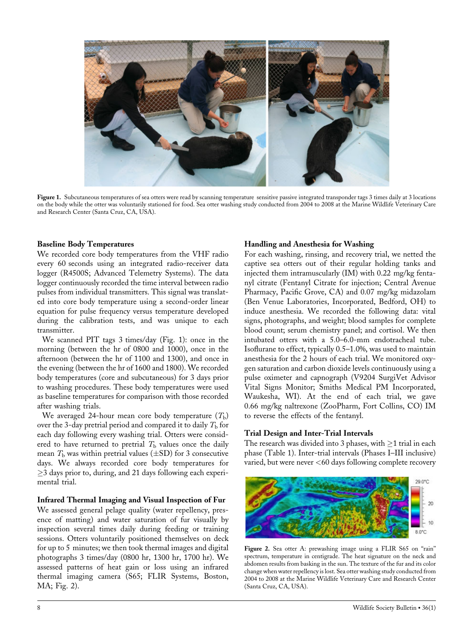

Figure 1. Subcutaneous temperatures of sea otters were read by scanning temperature sensitive passive integrated transponder tags 3 times daily at 3 locations on the body while the otter was voluntarily stationed for food. Sea otter washing study conducted from 2004 to 2008 at the Marine Wildlife Veterinary Care and Research Center (Santa Cruz, CA, USA).

#### Baseline Body Temperatures

We recorded core body temperatures from the VHF radio every 60 seconds using an integrated radio-receiver data logger (R4500S; Advanced Telemetry Systems). The data logger continuously recorded the time interval between radio pulses from individual transmitters. This signal was translated into core body temperature using a second-order linear equation for pulse frequency versus temperature developed during the calibration tests, and was unique to each transmitter.

We scanned PIT tags 3 times/day (Fig. 1): once in the morning (between the hr of 0800 and 1000), once in the afternoon (between the hr of 1100 and 1300), and once in the evening (between the hr of 1600 and 1800). We recorded body temperatures (core and subcutaneous) for 3 days prior to washing procedures. These body temperatures were used as baseline temperatures for comparison with those recorded after washing trials.

We averaged 24-hour mean core body temperature  $(T<sub>b</sub>)$ over the 3-day pretrial period and compared it to daily  $T<sub>b</sub>$  for each day following every washing trial. Otters were considered to have returned to pretrial  $T<sub>b</sub>$  values once the daily mean  $T<sub>b</sub>$  was within pretrial values ( $\pm$ SD) for 3 consecutive days. We always recorded core body temperatures for  $\geq$ 3 days prior to, during, and 21 days following each experimental trial.

## Infrared Thermal Imaging and Visual Inspection of Fur

We assessed general pelage quality (water repellency, presence of matting) and water saturation of fur visually by inspection several times daily during feeding or training sessions. Otters voluntarily positioned themselves on deck for up to 5 minutes; we then took thermal images and digital photographs 3 times/day (0800 hr, 1300 hr, 1700 hr). We assessed patterns of heat gain or loss using an infrared thermal imaging camera (S65; FLIR Systems, Boston, MA; Fig. 2).

#### Handling and Anesthesia for Washing

For each washing, rinsing, and recovery trial, we netted the captive sea otters out of their regular holding tanks and injected them intramuscularly (IM) with 0.22 mg/kg fentanyl citrate (Fentanyl Citrate for injection; Central Avenue Pharmacy, Pacific Grove, CA) and 0.07 mg/kg midazolam (Ben Venue Laboratories, Incorporated, Bedford, OH) to induce anesthesia. We recorded the following data: vital signs, photographs, and weight; blood samples for complete blood count; serum chemistry panel; and cortisol. We then intubated otters with a 5.0–6.0-mm endotracheal tube. Isoflurane to effect, typically 0.5–1.0%, was used to maintain anesthesia for the 2 hours of each trial. We monitored oxygen saturation and carbon dioxide levels continuously using a pulse oximeter and capnograph (V9204 SurgiVet Advisor Vital Signs Monitor; Smiths Medical PM Incorporated, Waukesha, WI). At the end of each trial, we gave 0.66 mg/kg naltrexone (ZooPharm, Fort Collins, CO) IM to reverse the effects of the fentanyl.

#### Trial Design and Inter-Trial Intervals

The research was divided into 3 phases, with  $\geq$ 1 trial in each phase (Table 1). Inter-trial intervals (Phases I–III inclusive) varied, but were never <60 days following complete recovery



Figure 2. Sea otter A: prewashing image using a FLIR S65 on "rain" spectrum, temperature in centigrade. The heat signature on the neck and abdomen results from basking in the sun. The texture of the fur and its color change when water repellency is lost. Sea otter washing study conducted from 2004 to 2008 at the Marine Wildlife Veterinary Care and Research Center (Santa Cruz, CA, USA).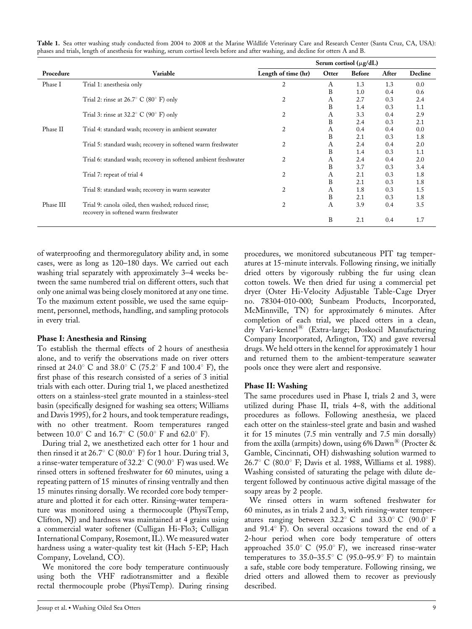|           |                                                                                            | Serum cortisol ( $\mu$ g/dL) |       |               |       |         |
|-----------|--------------------------------------------------------------------------------------------|------------------------------|-------|---------------|-------|---------|
| Procedure | Variable                                                                                   | Length of time (hr)          | Otter | <b>Before</b> | After | Decline |
| Phase I   | Trial 1: anesthesia only                                                                   | 2                            | A     | 1.3           | 1.3   | 0.0     |
|           |                                                                                            |                              | B     | 1.0           | 0.4   | 0.6     |
|           | Trial 2: rinse at $26.7^{\circ}$ C (80 $^{\circ}$ F) only                                  | $\overline{2}$               | A     | 2.7           | 0.3   | 2.4     |
|           |                                                                                            |                              | B     | 1.4           | 0.3   | 1.1     |
|           | Trial 3: rinse at $32.2^{\circ}$ C (90° F) only                                            | 2                            | A     | 3.3           | 0.4   | 2.9     |
|           |                                                                                            |                              | B     | 2.4           | 0.3   | 2.1     |
| Phase II  | Trial 4: standard wash; recovery in ambient seawater                                       | 2                            | A     | 0.4           | 0.4   | 0.0     |
|           |                                                                                            |                              | B     | 2.1           | 0.3   | 1.8     |
|           | Trial 5: standard wash; recovery in softened warm freshwater                               | $\overline{2}$               | A     | 2.4           | 0.4   | 2.0     |
|           |                                                                                            |                              | B     | 1.4           | 0.3   | 1.1     |
|           | Trial 6: standard wash; recovery in softened ambient freshwater                            | $\overline{2}$               | A     | 2.4           | 0.4   | 2.0     |
|           |                                                                                            |                              | B     | 3.7           | 0.3   | 3.4     |
|           | Trial 7: repeat of trial 4                                                                 | 2                            | A     | 2.1           | 0.3   | 1.8     |
|           |                                                                                            |                              | B     | 2.1           | 0.3   | 1.8     |
|           | Trial 8: standard wash; recovery in warm seawater                                          | 2                            | A     | 1.8           | 0.3   | 1.5     |
|           |                                                                                            |                              | B     | 2.1           | 0.3   | 1.8     |
| Phase III | Trial 9: canola oiled, then washed; reduced rinse;<br>recovery in softened warm freshwater | $\overline{2}$               | A     | 3.9           | 0.4   | 3.5     |
|           |                                                                                            |                              | B     | 2.1           | 0.4   | 1.7     |

Table 1. Sea otter washing study conducted from 2004 to 2008 at the Marine Wildlife Veterinary Care and Research Center (Santa Cruz, CA, USA): phases and trials, length of anesthesia for washing, serum cortisol levels before and after washing, and decline for otters A and B.

of waterproofing and thermoregulatory ability and, in some cases, were as long as 120–180 days. We carried out each washing trial separately with approximately 3–4 weeks between the same numbered trial on different otters, such that only one animal was being closely monitored at any one time. To the maximum extent possible, we used the same equipment, personnel, methods, handling, and sampling protocols in every trial.

## Phase I: Anesthesia and Rinsing

To establish the thermal effects of 2 hours of anesthesia alone, and to verify the observations made on river otters rinsed at 24.0° C and 38.0° C (75.2° F and 100.4° F), the first phase of this research consisted of a series of 3 initial trials with each otter. During trial 1, we placed anesthetized otters on a stainless-steel grate mounted in a stainless-steel basin (specifically designed for washing sea otters; Williams and Davis 1995), for 2 hours, and took temperature readings, with no other treatment. Room temperatures ranged between  $10.0^{\circ}$  C and  $16.7^{\circ}$  C (50.0° F and 62.0° F).

During trial 2, we anesthetized each otter for 1 hour and then rinsed it at 26.7° C (80.0° F) for 1 hour. During trial 3, a rinse-water temperature of 32.2 $^{\circ}$  C (90.0 $^{\circ}$  F) was used. We rinsed otters in softened freshwater for 60 minutes, using a repeating pattern of 15 minutes of rinsing ventrally and then 15 minutes rinsing dorsally. We recorded core body temperature and plotted it for each otter. Rinsing-water temperature was monitored using a thermocouple (PhysiTemp, Clifton, NJ) and hardness was maintained at 4 grains using a commercial water softener (Culligan Hi-Flo3; Culligan International Company, Rosemont, IL). We measured water hardness using a water-quality test kit (Hach 5-EP; Hach Company, Loveland, CO).

We monitored the core body temperature continuously using both the VHF radiotransmitter and a flexible rectal thermocouple probe (PhysiTemp). During rinsing

procedures, we monitored subcutaneous PIT tag temperatures at 15-minute intervals. Following rinsing, we initially dried otters by vigorously rubbing the fur using clean cotton towels. We then dried fur using a commercial pet dryer (Oster Hi-Velocity Adjustable Table-Cage Dryer no. 78304-010-000; Sunbeam Products, Incorporated, McMinnville, TN) for approximately 6 minutes. After completion of each trial, we placed otters in a clean, dry Vari-kennel<sup>®</sup> (Extra-large; Doskocil Manufacturing Company Incorporated, Arlington, TX) and gave reversal drugs. We held otters in the kennel for approximately 1 hour and returned them to the ambient-temperature seawater pools once they were alert and responsive.

## Phase II: Washing

The same procedures used in Phase I, trials 2 and 3, were utilized during Phase II, trials 4–8, with the additional procedures as follows. Following anesthesia, we placed each otter on the stainless-steel grate and basin and washed it for 15 minutes (7.5 min ventrally and 7.5 min dorsally) from the axilla (armpits) down, using 6%  $\text{Dawn}^{\textcircled{\tiny{\textregistered}}\text{}}$  (Procter & Gamble, Cincinnati, OH) dishwashing solution warmed to 26.7° C (80.0° F; Davis et al. 1988, Williams et al. 1988). Washing consisted of saturating the pelage with dilute detergent followed by continuous active digital massage of the soapy areas by 2 people.

We rinsed otters in warm softened freshwater for 60 minutes, as in trials 2 and 3, with rinsing-water temperatures ranging between  $32.2^{\circ}$  C and  $33.0^{\circ}$  C (90.0° F and  $91.4^{\circ}$  F). On several occasions toward the end of a 2-hour period when core body temperature of otters approached  $35.0^{\circ}$  C (95.0° F), we increased rinse-water temperatures to  $35.0-35.5^{\circ}$  C (95.0-95.9° F) to maintain a safe, stable core body temperature. Following rinsing, we dried otters and allowed them to recover as previously described.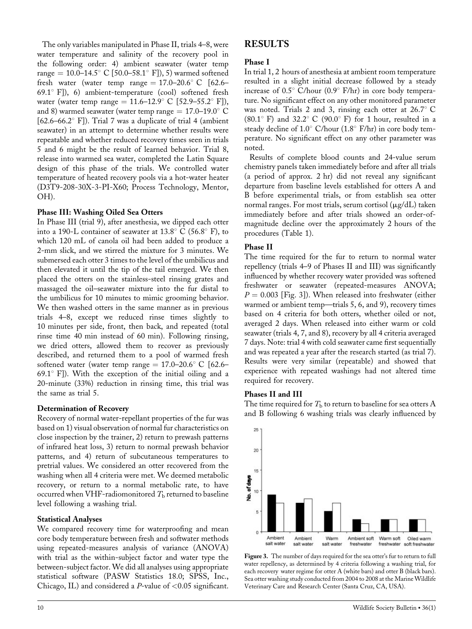The only variables manipulated in Phase II, trials 4–8, were water temperature and salinity of the recovery pool in the following order: 4) ambient seawater (water temp range = 10.0–14.5° C [50.0–58.1° F]), 5) warmed softened fresh water (water temp range  $= 17.0$ –20.6° C [62.6– 69.1° F]), 6) ambient-temperature (cool) softened fresh water (water temp range =  $11.6-12.9^{\circ}$  C [52.9–55.2° F]), and 8) warmed seawater (water temp range  $= 17.0$ –19.0 $^{\circ}$  C  $[62.6-66.2^{\circ}$  F]). Trial 7 was a duplicate of trial 4 (ambient seawater) in an attempt to determine whether results were repeatable and whether reduced recovery times seen in trials 5 and 6 might be the result of learned behavior. Trial 8, release into warmed sea water, completed the Latin Square design of this phase of the trials. We controlled water temperature of heated recovery pools via a hot-water heater (D3T9-208-30X-3-PI-X60; Process Technology, Mentor, OH).

## Phase III: Washing Oiled Sea Otters

In Phase III (trial 9), after anesthesia, we dipped each otter into a 190-L container of seawater at 13.8 $\textdegree$  C (56.8 $\textdegree$  F), to which 120 mL of canola oil had been added to produce a 2-mm slick, and we stirred the mixture for 3 minutes. We submersed each otter 3 times to the level of the umbilicus and then elevated it until the tip of the tail emerged. We then placed the otters on the stainless-steel rinsing grates and massaged the oil–seawater mixture into the fur distal to the umbilicus for 10 minutes to mimic grooming behavior. We then washed otters in the same manner as in previous trials 4–8, except we reduced rinse times slightly to 10 minutes per side, front, then back, and repeated (total rinse time 40 min instead of 60 min). Following rinsing, we dried otters, allowed them to recover as previously described, and returned them to a pool of warmed fresh softened water (water temp range  $= 17.0$ –20.6 $^{\circ}$  C [62.6– 69.1 $^{\circ}$  F]). With the exception of the initial oiling and a 20-minute (33%) reduction in rinsing time, this trial was the same as trial 5.

## Determination of Recovery

Recovery of normal water-repellant properties of the fur was based on 1) visual observation of normal fur characteristics on close inspection by the trainer, 2) return to prewash patterns of infrared heat loss, 3) return to normal prewash behavior patterns, and 4) return of subcutaneous temperatures to pretrial values. We considered an otter recovered from the washing when all 4 criteria were met. We deemed metabolic recovery, or return to a normal metabolic rate, to have occurred when VHF-radiomonitored  $T<sub>b</sub>$  returned to baseline level following a washing trial.

## Statistical Analyses

We compared recovery time for waterproofing and mean core body temperature between fresh and softwater methods using repeated-measures analysis of variance (ANOVA) with trial as the within-subject factor and water type the between-subject factor. We did all analyses using appropriate statistical software (PASW Statistics 18.0; SPSS, Inc., Chicago, IL) and considered a *P*-value of  $< 0.05$  significant.

# RESULTS

## Phase I

In trial 1, 2 hours of anesthesia at ambient room temperature resulted in a slight initial decrease followed by a steady increase of  $0.5^{\circ}$  C/hour (0.9 $^{\circ}$  F/hr) in core body temperature. No significant effect on any other monitored parameter was noted. Trials 2 and 3, rinsing each otter at  $26.7^{\circ}$  C  $(80.1^{\circ} \text{ F})$  and  $32.2^{\circ} \text{ C}$   $(90.0^{\circ} \text{ F})$  for 1 hour, resulted in a steady decline of  $1.0^{\circ}$  C/hour ( $1.8^{\circ}$  F/hr) in core body temperature. No significant effect on any other parameter was noted.

Results of complete blood counts and 24-value serum chemistry panels taken immediately before and after all trials (a period of approx. 2 hr) did not reveal any significant departure from baseline levels established for otters A and B before experimental trials, or from establish sea otter normal ranges. For most trials, serum cortisol  $(\mu g/dL)$  taken immediately before and after trials showed an order-ofmagnitude decline over the approximately 2 hours of the procedures (Table 1).

## Phase II

The time required for the fur to return to normal water repellency (trials 4–9 of Phases II and III) was significantly influenced by whether recovery water provided was softened freshwater or seawater (repeated-measures ANOVA;  $P = 0.003$  [Fig. 3]). When released into freshwater (either warmed or ambient temp—trials 5, 6, and 9), recovery times based on 4 criteria for both otters, whether oiled or not, averaged 2 days. When released into either warm or cold seawater (trials 4, 7, and 8), recovery by all 4 criteria averaged 7 days. Note: trial 4 with cold seawater came first sequentially and was repeated a year after the research started (as trial 7). Results were very similar (repeatable) and showed that experience with repeated washings had not altered time required for recovery.

## Phases II and III

The time required for  $T<sub>b</sub>$  to return to baseline for sea otters A and B following 6 washing trials was clearly influenced by



Figure 3. The number of days required for the sea otter's fur to return to full water repellency, as determined by 4 criteria following a washing trial, for each recovery water regime for otter A (white bars) and otter B (black bars). Sea otter washing study conducted from 2004 to 2008 at the Marine Wildlife Veterinary Care and Research Center (Santa Cruz, CA, USA).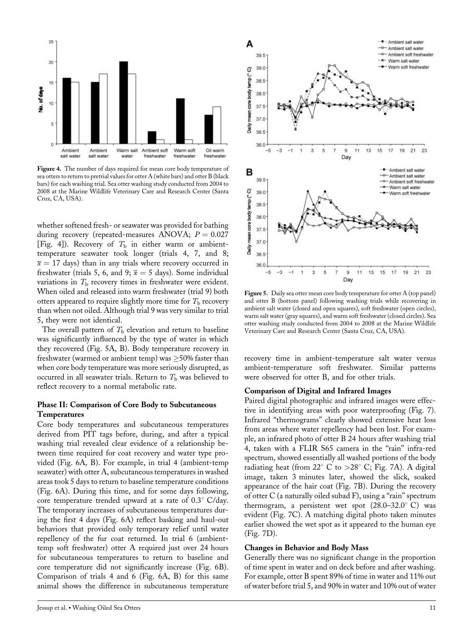

Figure 4. The number of days required for mean core body temperature of sea otters to return to pretrial values for otter  $A$  (white bars) and otter  $B$  (black bars) for each washing trial. Sea otter washing study conducted from 2004 to 2008 at the Marine Wildlife Veterinary Care and Research Center (Santa Cruz, CA, USA).

whether softened fresh- or seawater was provided for bathing during recovery (repeated-measures ANOVA;  $P = 0.027$ [Fig. 4]). Recovery of  $T<sub>b</sub>$  in either warm or ambienttemperature seawater took longer (trials 4, 7, and 8;  $\bar{x}$  = 17 days) than in any trials where recovery occurred in freshwater (trials 5, 6, and 9;  $\bar{x} = 5$  days). Some individual variations in  $T<sub>b</sub>$  recovery times in freshwater were evident. When oiled and released into warm freshwater (trial 9) both otters appeared to require slightly more time for  $T<sub>b</sub>$  recovery than when not oiled. Although trial 9 was very similar to trial 5, they were not identical.

The overall pattern of  $T<sub>b</sub>$  elevation and return to baseline was significantly influenced by the type of water in which they recovered (Fig. 5A, B). Body temperature recovery in freshwater (warmed or ambient temp) was  $\geq$ 50% faster than when core body temperature was more seriously disrupted, as occurred in all seawater trials. Return to  $T<sub>b</sub>$  was believed to reflect recovery to a normal metabolic rate.

#### Phase II: Comparison of Core Body to Subcutaneous Temperatures

Core body temperatures and subcutaneous temperatures derived from PIT tags before, during, and after a typical washing trial revealed clear evidence of a relationship between time required for coat recovery and water type provided (Fig. 6A, B). For example, in trial 4 (ambient-temp seawater) with otter A, subcutaneous temperatures in washed areas took 5 days to return to baseline temperature conditions (Fig. 6A). During this time, and for some days following, core temperature trended upward at a rate of  $0.3^{\circ}$  C/day. The temporary increases of subcutaneous temperatures during the first 4 days (Fig. 6A) reflect basking and haul-out behaviors that provided only temporary relief until water repellency of the fur coat returned. In trial 6 (ambienttemp soft freshwater) otter A required just over 24 hours for subcutaneous temperatures to return to baseline and core temperature did not significantly increase (Fig. 6B). Comparison of trials 4 and 6 (Fig. 6A, B) for this same animal shows the difference in subcutaneous temperature



Figure 5. Daily sea otter mean core body temperature for otter A (top panel) and otter B (bottom panel) following washing trials while recovering in ambient salt water (closed and open squares), soft freshwater (open circles), warm salt water (gray squares), and warm soft freshwater (closed circles). Sea otter washing study conducted from 2004 to 2008 at the Marine Wildlife Veterinary Care and Research Center (Santa Cruz, CA, USA).

recovery time in ambient-temperature salt water versus ambient-temperature soft freshwater. Similar patterns were observed for otter B, and for other trials.

#### Comparison of Digital and Infrared Images

Paired digital photographic and infrared images were effective in identifying areas with poor waterproofing (Fig. 7). Infrared ''thermograms'' clearly showed extensive heat loss from areas where water repellency had been lost. For example, an infrared photo of otter B 24 hours after washing trial 4, taken with a FLIR S65 camera in the ''rain'' infra-red spectrum, showed essentially all washed portions of the body radiating heat (from  $22^{\circ}$  C to  $>28^{\circ}$  C; Fig. 7A). A digital image, taken 3 minutes later, showed the slick, soaked appearance of the hair coat (Fig. 7B). During the recovery of otter C (a naturally oiled subad F), using a ''rain'' spectrum thermogram, a persistent wet spot  $(28.0-32.0^{\circ} \text{ C})$  was evident (Fig. 7C). A matching digital photo taken minutes earlier showed the wet spot as it appeared to the human eye (Fig. 7D).

#### Changes in Behavior and Body Mass

Generally there was no significant change in the proportion of time spent in water and on deck before and after washing. For example, otter B spent 89% of time in water and 11% out of water before trial 5, and 90% in water and 10% out of water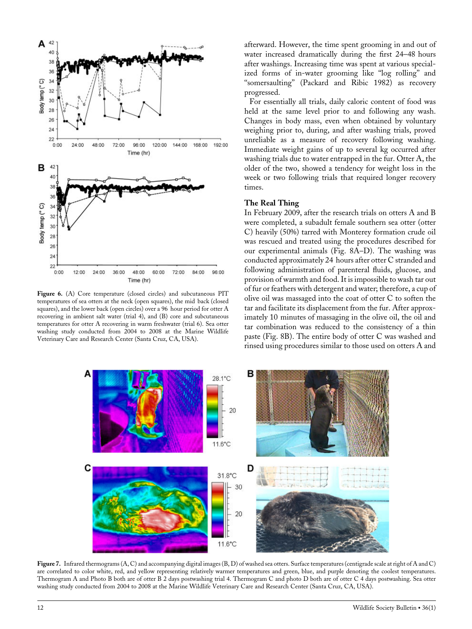

Figure 6. (A) Core temperature (closed circles) and subcutaneous PIT temperatures of sea otters at the neck (open squares), the mid back (closed squares), and the lower back (open circles) over a 96 hour period for otter A recovering in ambient salt water (trial 4), and (B) core and subcutaneous temperatures for otter A recovering in warm freshwater (trial 6). Sea otter washing study conducted from 2004 to 2008 at the Marine Wildlife Veterinary Care and Research Center (Santa Cruz, CA, USA).

afterward. However, the time spent grooming in and out of water increased dramatically during the first 24–48 hours after washings. Increasing time was spent at various specialized forms of in-water grooming like ''log rolling'' and "somersaulting" (Packard and Ribic 1982) as recovery progressed.

For essentially all trials, daily caloric content of food was held at the same level prior to and following any wash. Changes in body mass, even when obtained by voluntary weighing prior to, during, and after washing trials, proved unreliable as a measure of recovery following washing. Immediate weight gains of up to several kg occurred after washing trials due to water entrapped in the fur. Otter A, the older of the two, showed a tendency for weight loss in the week or two following trials that required longer recovery times.

#### The Real Thing

In February 2009, after the research trials on otters A and B were completed, a subadult female southern sea otter (otter C) heavily (50%) tarred with Monterey formation crude oil was rescued and treated using the procedures described for our experimental animals (Fig. 8A–D). The washing was conducted approximately 24 hours after otter C stranded and following administration of parenteral fluids, glucose, and provision of warmth and food. It is impossible to wash tar out of fur or feathers with detergent and water; therefore, a cup of olive oil was massaged into the coat of otter C to soften the tar and facilitate its displacement from the fur. After approximately 10 minutes of massaging in the olive oil, the oil and tar combination was reduced to the consistency of a thin paste (Fig. 8B). The entire body of otter C was washed and rinsed using procedures similar to those used on otters A and



Figure 7. Infrared thermograms (A, C) and accompanying digital images (B, D) of washed sea otters. Surface temperatures (centigrade scale at right of A and C) are correlated to color white, red, and yellow representing relatively warmer temperatures and green, blue, and purple denoting the coolest temperatures. Thermogram A and Photo B both are of otter B 2 days postwashing trial 4. Thermogram C and photo D both are of otter C 4 days postwashing. Sea otter washing study conducted from 2004 to 2008 at the Marine Wildlife Veterinary Care and Research Center (Santa Cruz, CA, USA).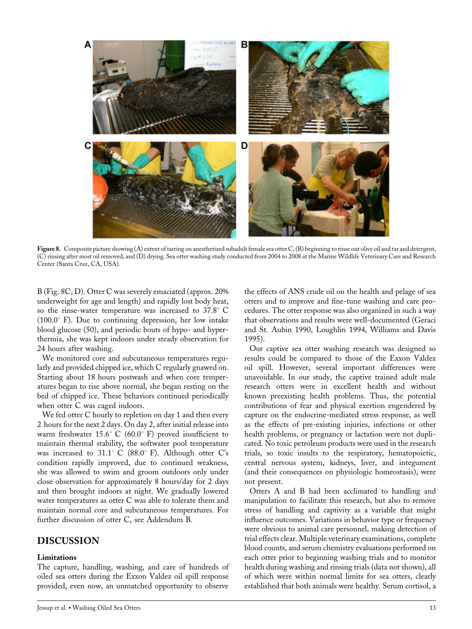

Figure 8. Composite picture showing (A) extent of tarring on anesthetized subadult female sea otter C, (B) beginning to rinse out olive oil and tar and detergent, (C) rinsing after most oil removed, and (D) drying. Sea otter washing study conducted from 2004 to 2008 at the Marine Wildlife Veterinary Care and Research Center (Santa Cruz, CA, USA).

B (Fig. 8C, D). Otter C was severely emaciated (approx. 20% underweight for age and length) and rapidly lost body heat, so the rinse-water temperature was increased to  $37.8^{\circ}$  C  $(100.0^{\circ}$  F). Due to continuing depression, her low intake blood glucose (50), and periodic bouts of hypo- and hyperthermia, she was kept indoors under steady observation for 24 hours after washing.

We monitored core and subcutaneous temperatures regularly and provided chipped ice, which C regularly gnawed on. Starting about 18 hours postwash and when core temperatures began to rise above normal, she began resting on the bed of chipped ice. These behaviors continued periodically when otter C was caged indoors.

We fed otter C hourly to repletion on day 1 and then every 2 hours for the next 2 days. On day 2, after initial release into warm freshwater  $15.6^{\circ}$  C (60.0° F) proved insufficient to maintain thermal stability, the softwater pool temperature was increased to  $31.1^{\circ}$  C (88.0° F). Although otter C's condition rapidly improved, due to continued weakness, she was allowed to swim and groom outdoors only under close observation for approximately 8 hours/day for 2 days and then brought indoors at night. We gradually lowered water temperatures as otter C was able to tolerate them and maintain normal core and subcutaneous temperatures. For further discussion of otter C, see Addendum B.

# DISCUSSION

#### Limitations

The capture, handling, washing, and care of hundreds of oiled sea otters during the Exxon Valdez oil spill response provided, even now, an unmatched opportunity to observe

the effects of ANS crude oil on the health and pelage of sea otters and to improve and fine-tune washing and care procedures. The otter response was also organized in such a way that observations and results were well-documented (Geraci and St. Aubin 1990, Loughlin 1994, Williams and Davis 1995).

Our captive sea otter washing research was designed so results could be compared to those of the Exxon Valdez oil spill. However, several important differences were unavoidable. In our study, the captive trained adult male research otters were in excellent health and without known preexisting health problems. Thus, the potential contributions of fear and physical exertion engendered by capture on the endocrine-mediated stress response, as well as the effects of pre-existing injuries, infections or other health problems, or pregnancy or lactation were not duplicated. No toxic petroleum products were used in the research trials, so toxic insults to the respiratory, hematopoietic, central nervous system, kidneys, liver, and integument (and their consequences on physiologic homeostasis), were not present.

Otters A and B had been acclimated to handling and manipulation to facilitate this research, but also to remove stress of handling and captivity as a variable that might influence outcomes. Variations in behavior type or frequency were obvious to animal care personnel, making detection of trial effects clear. Multiple veterinary examinations, complete blood counts, and serum chemistry evaluations performed on each otter prior to beginning washing trials and to monitor health during washing and rinsing trials (data not shown), all of which were within normal limits for sea otters, clearly established that both animals were healthy. Serum cortisol, a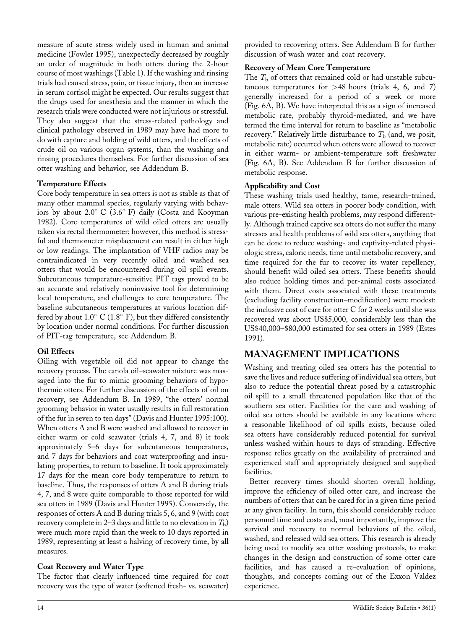measure of acute stress widely used in human and animal medicine (Fowler 1995), unexpectedly decreased by roughly an order of magnitude in both otters during the 2-hour course of most washings (Table 1). If the washing and rinsing trials had caused stress, pain, or tissue injury, then an increase in serum cortisol might be expected. Our results suggest that the drugs used for anesthesia and the manner in which the research trials were conducted were not injurious or stressful. They also suggest that the stress-related pathology and clinical pathology observed in 1989 may have had more to do with capture and holding of wild otters, and the effects of crude oil on various organ systems, than the washing and rinsing procedures themselves. For further discussion of sea otter washing and behavior, see Addendum B.

## Temperature Effects

Core body temperature in sea otters is not as stable as that of many other mammal species, regularly varying with behaviors by about 2.0 $\degree$  C (3.6 $\degree$  F) daily (Costa and Kooyman 1982). Core temperatures of wild oiled otters are usually taken via rectal thermometer; however, this method is stressful and thermometer misplacement can result in either high or low readings. The implantation of VHF radios may be contraindicated in very recently oiled and washed sea otters that would be encountered during oil spill events. Subcutaneous temperature-sensitive PIT tags proved to be an accurate and relatively noninvasive tool for determining local temperature, and challenges to core temperature. The baseline subcutaneous temperatures at various location differed by about  $1.0^{\circ}$  C ( $1.8^{\circ}$  F), but they differed consistently by location under normal conditions. For further discussion of PIT-tag temperature, see Addendum B.

## Oil Effects

Oiling with vegetable oil did not appear to change the recovery process. The canola oil–seawater mixture was massaged into the fur to mimic grooming behaviors of hypothermic otters. For further discussion of the effects of oil on recovery, see Addendum B. In 1989, ''the otters' normal grooming behavior in water usually results in full restoration of the fur in seven to ten days'' (Davis and Hunter 1995:100). When otters A and B were washed and allowed to recover in either warm or cold seawater (trials 4, 7, and 8) it took approximately 5–6 days for subcutaneous temperatures, and 7 days for behaviors and coat waterproofing and insulating properties, to return to baseline. It took approximately 17 days for the mean core body temperature to return to baseline. Thus, the responses of otters A and B during trials 4, 7, and 8 were quite comparable to those reported for wild sea otters in 1989 (Davis and Hunter 1995). Conversely, the responses of otters A and B during trials 5, 6, and 9 (with coat recovery complete in 2–3 days and little to no elevation in  $T<sub>b</sub>$ ) were much more rapid than the week to 10 days reported in 1989, representing at least a halving of recovery time, by all measures.

## Coat Recovery and Water Type

The factor that clearly influenced time required for coat recovery was the type of water (softened fresh- vs. seawater)

provided to recovering otters. See Addendum B for further discussion of wash water and coat recovery.

## Recovery of Mean Core Temperature

The  $T<sub>b</sub>$  of otters that remained cold or had unstable subcutaneous temperatures for  $>48$  hours (trials 4, 6, and 7) generally increased for a period of a week or more (Fig. 6A, B). We have interpreted this as a sign of increased metabolic rate, probably thyroid-mediated, and we have termed the time interval for return to baseline as ''metabolic recovery." Relatively little disturbance to  $T<sub>b</sub>$  (and, we posit, metabolic rate) occurred when otters were allowed to recover in either warm- or ambient-temperature soft freshwater (Fig. 6A, B). See Addendum B for further discussion of metabolic response.

## Applicability and Cost

These washing trials used healthy, tame, research-trained, male otters. Wild sea otters in poorer body condition, with various pre-existing health problems, may respond differently. Although trained captive sea otters do not suffer the many stresses and health problems of wild sea otters, anything that can be done to reduce washing- and captivity-related physiologic stress, caloric needs, time until metabolic recovery, and time required for the fur to recover its water repellency, should benefit wild oiled sea otters. These benefits should also reduce holding times and per-animal costs associated with them. Direct costs associated with these treatments (excluding facility construction–modification) were modest: the inclusive cost of care for otter C for 2 weeks until she was recovered was about US\$5,000, considerably less than the US\$40,000–\$80,000 estimated for sea otters in 1989 (Estes 1991).

# MANAGEMENT IMPLICATIONS

Washing and treating oiled sea otters has the potential to save the lives and reduce suffering of individual sea otters, but also to reduce the potential threat posed by a catastrophic oil spill to a small threatened population like that of the southern sea otter. Facilities for the care and washing of oiled sea otters should be available in any locations where a reasonable likelihood of oil spills exists, because oiled sea otters have considerably reduced potential for survival unless washed within hours to days of stranding. Effective response relies greatly on the availability of pretrained and experienced staff and appropriately designed and supplied facilities.

Better recovery times should shorten overall holding, improve the efficiency of oiled otter care, and increase the numbers of otters that can be cared for in a given time period at any given facility. In turn, this should considerably reduce personnel time and costs and, most importantly, improve the survival and recovery to normal behaviors of the oiled, washed, and released wild sea otters. This research is already being used to modify sea otter washing protocols, to make changes in the design and construction of some otter care facilities, and has caused a re-evaluation of opinions, thoughts, and concepts coming out of the Exxon Valdez experience.